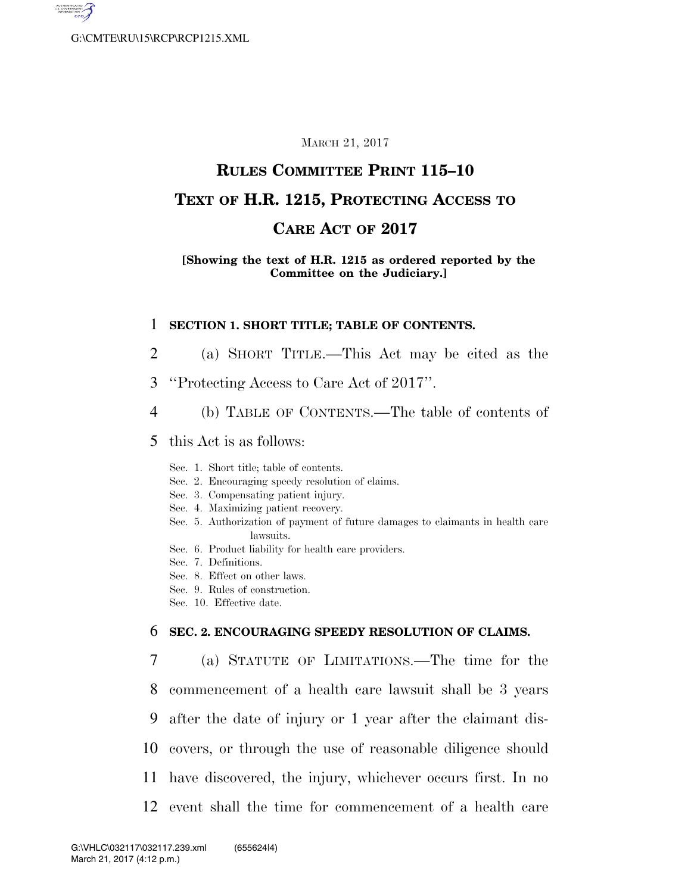

#### MARCH 21, 2017

## **RULES COMMITTEE PRINT 115–10**

## **TEXT OF H.R. 1215, PROTECTING ACCESS TO**

## **CARE ACT OF 2017**

#### **[Showing the text of H.R. 1215 as ordered reported by the Committee on the Judiciary.]**

#### 1 **SECTION 1. SHORT TITLE; TABLE OF CONTENTS.**

- 2 (a) SHORT TITLE.—This Act may be cited as the
- 3 ''Protecting Access to Care Act of 2017''.
- 4 (b) TABLE OF CONTENTS.—The table of contents of

### 5 this Act is as follows:

- Sec. 1. Short title; table of contents.
- Sec. 2. Encouraging speedy resolution of claims.
- Sec. 3. Compensating patient injury.
- Sec. 4. Maximizing patient recovery.
- Sec. 5. Authorization of payment of future damages to claimants in health care lawsuits.
- Sec. 6. Product liability for health care providers.
- Sec. 7. Definitions.
- Sec. 8. Effect on other laws.
- Sec. 9. Rules of construction.
- Sec. 10. Effective date.

### 6 **SEC. 2. ENCOURAGING SPEEDY RESOLUTION OF CLAIMS.**

 (a) STATUTE OF LIMITATIONS.—The time for the commencement of a health care lawsuit shall be 3 years after the date of injury or 1 year after the claimant dis- covers, or through the use of reasonable diligence should have discovered, the injury, whichever occurs first. In no event shall the time for commencement of a health care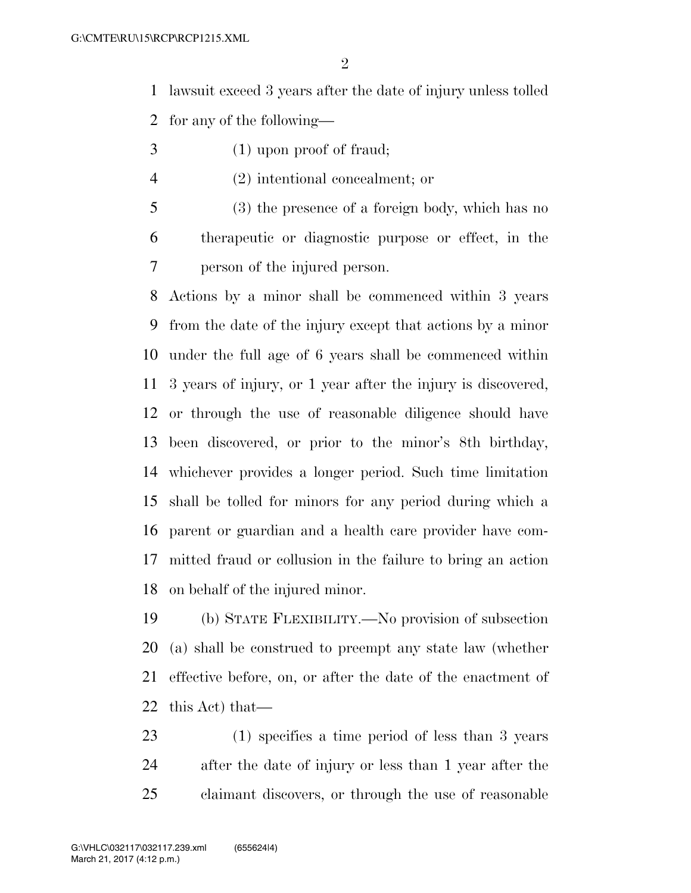lawsuit exceed 3 years after the date of injury unless tolled

for any of the following—

- (1) upon proof of fraud;
- (2) intentional concealment; or
- (3) the presence of a foreign body, which has no therapeutic or diagnostic purpose or effect, in the person of the injured person.

 Actions by a minor shall be commenced within 3 years from the date of the injury except that actions by a minor under the full age of 6 years shall be commenced within 3 years of injury, or 1 year after the injury is discovered, or through the use of reasonable diligence should have been discovered, or prior to the minor's 8th birthday, whichever provides a longer period. Such time limitation shall be tolled for minors for any period during which a parent or guardian and a health care provider have com- mitted fraud or collusion in the failure to bring an action on behalf of the injured minor.

 (b) STATE FLEXIBILITY.—No provision of subsection (a) shall be construed to preempt any state law (whether effective before, on, or after the date of the enactment of this Act) that—

 (1) specifies a time period of less than 3 years after the date of injury or less than 1 year after the claimant discovers, or through the use of reasonable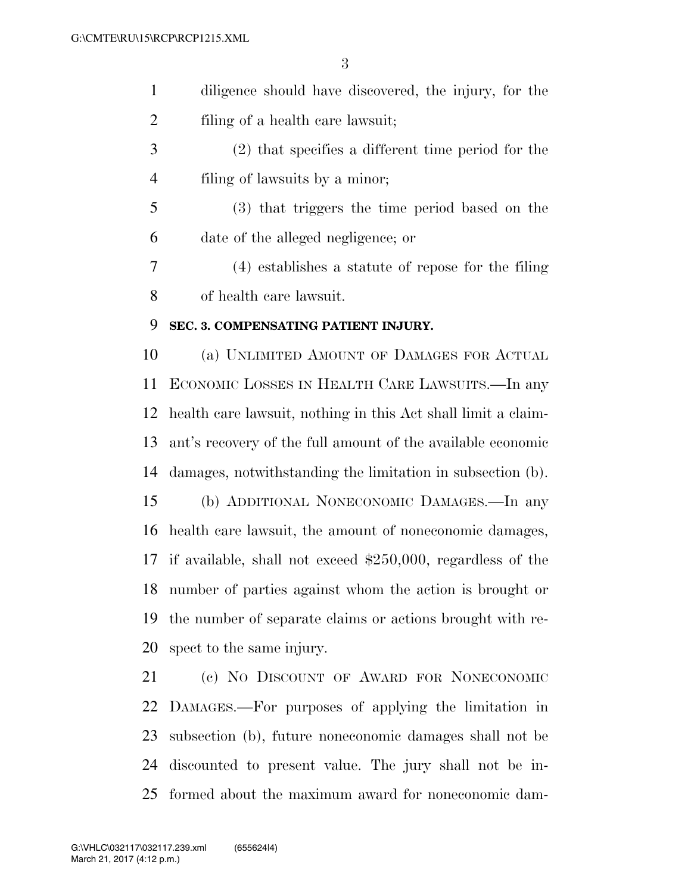diligence should have discovered, the injury, for the filing of a health care lawsuit;

 (2) that specifies a different time period for the filing of lawsuits by a minor;

 (3) that triggers the time period based on the date of the alleged negligence; or

 (4) establishes a statute of repose for the filing of health care lawsuit.

#### **SEC. 3. COMPENSATING PATIENT INJURY.**

 (a) UNLIMITED AMOUNT OF DAMAGES FOR ACTUAL ECONOMIC LOSSES IN HEALTH CARE LAWSUITS.—In any health care lawsuit, nothing in this Act shall limit a claim- ant's recovery of the full amount of the available economic damages, notwithstanding the limitation in subsection (b). (b) ADDITIONAL NONECONOMIC DAMAGES.—In any health care lawsuit, the amount of noneconomic damages, if available, shall not exceed \$250,000, regardless of the number of parties against whom the action is brought or the number of separate claims or actions brought with re-spect to the same injury.

 (c) NO DISCOUNT OF AWARD FOR NONECONOMIC DAMAGES.—For purposes of applying the limitation in subsection (b), future noneconomic damages shall not be discounted to present value. The jury shall not be in-formed about the maximum award for noneconomic dam-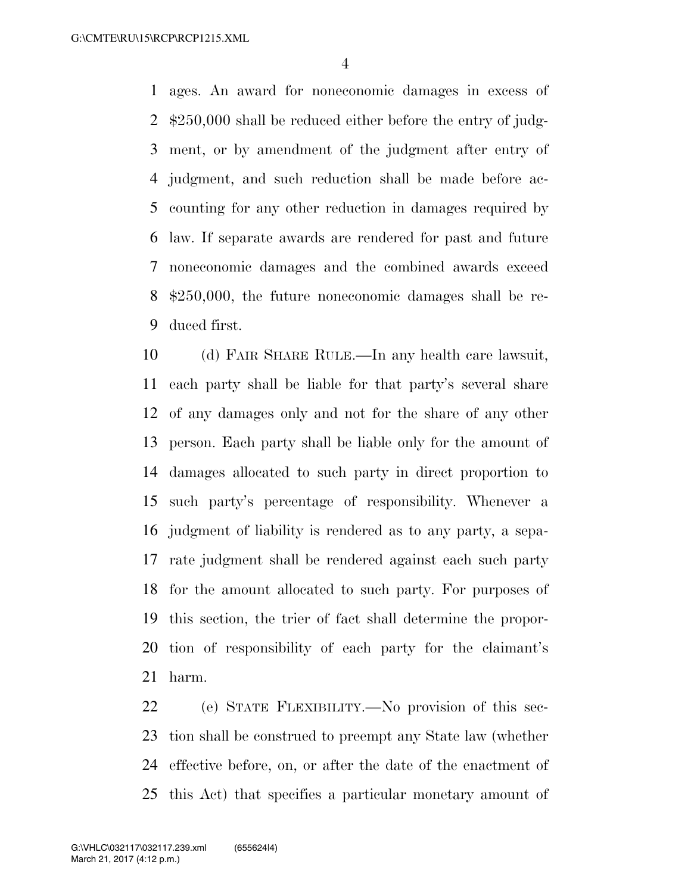ages. An award for noneconomic damages in excess of \$250,000 shall be reduced either before the entry of judg- ment, or by amendment of the judgment after entry of judgment, and such reduction shall be made before ac- counting for any other reduction in damages required by law. If separate awards are rendered for past and future noneconomic damages and the combined awards exceed \$250,000, the future noneconomic damages shall be re-duced first.

 (d) FAIR SHARE RULE.—In any health care lawsuit, each party shall be liable for that party's several share of any damages only and not for the share of any other person. Each party shall be liable only for the amount of damages allocated to such party in direct proportion to such party's percentage of responsibility. Whenever a judgment of liability is rendered as to any party, a sepa- rate judgment shall be rendered against each such party for the amount allocated to such party. For purposes of this section, the trier of fact shall determine the propor- tion of responsibility of each party for the claimant's harm.

 (e) STATE FLEXIBILITY.—No provision of this sec- tion shall be construed to preempt any State law (whether effective before, on, or after the date of the enactment of this Act) that specifies a particular monetary amount of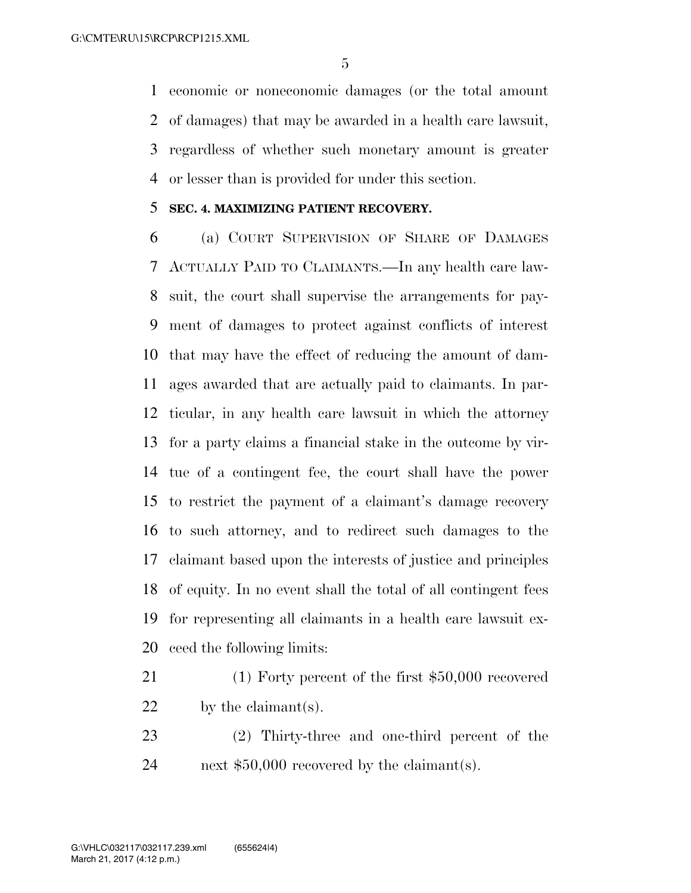economic or noneconomic damages (or the total amount of damages) that may be awarded in a health care lawsuit, regardless of whether such monetary amount is greater or lesser than is provided for under this section.

### **SEC. 4. MAXIMIZING PATIENT RECOVERY.**

 (a) COURT SUPERVISION OF SHARE OF DAMAGES ACTUALLY PAID TO CLAIMANTS.—In any health care law- suit, the court shall supervise the arrangements for pay- ment of damages to protect against conflicts of interest that may have the effect of reducing the amount of dam- ages awarded that are actually paid to claimants. In par- ticular, in any health care lawsuit in which the attorney for a party claims a financial stake in the outcome by vir- tue of a contingent fee, the court shall have the power to restrict the payment of a claimant's damage recovery to such attorney, and to redirect such damages to the claimant based upon the interests of justice and principles of equity. In no event shall the total of all contingent fees for representing all claimants in a health care lawsuit ex-ceed the following limits:

- (1) Forty percent of the first \$50,000 recovered 22 by the claimant(s).
- (2) Thirty-three and one-third percent of the next \$50,000 recovered by the claimant(s).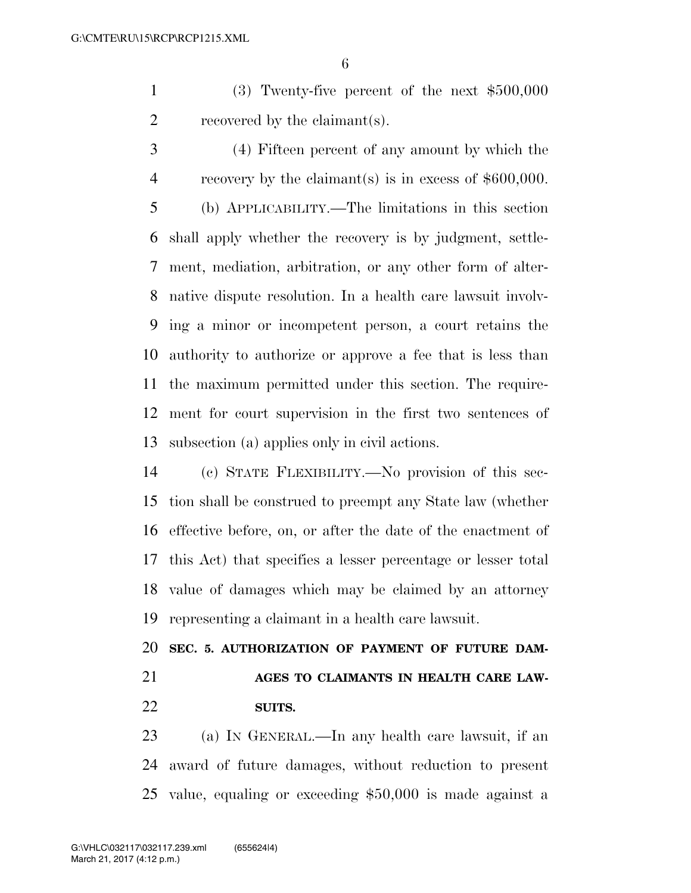(3) Twenty-five percent of the next \$500,000 recovered by the claimant(s).

 (4) Fifteen percent of any amount by which the recovery by the claimant(s) is in excess of \$600,000. (b) APPLICABILITY.—The limitations in this section shall apply whether the recovery is by judgment, settle- ment, mediation, arbitration, or any other form of alter- native dispute resolution. In a health care lawsuit involv- ing a minor or incompetent person, a court retains the authority to authorize or approve a fee that is less than the maximum permitted under this section. The require- ment for court supervision in the first two sentences of subsection (a) applies only in civil actions.

 (c) STATE FLEXIBILITY.—No provision of this sec- tion shall be construed to preempt any State law (whether effective before, on, or after the date of the enactment of this Act) that specifies a lesser percentage or lesser total value of damages which may be claimed by an attorney representing a claimant in a health care lawsuit.

# **SEC. 5. AUTHORIZATION OF PAYMENT OF FUTURE DAM- AGES TO CLAIMANTS IN HEALTH CARE LAW-SUITS.**

 (a) IN GENERAL.—In any health care lawsuit, if an award of future damages, without reduction to present value, equaling or exceeding \$50,000 is made against a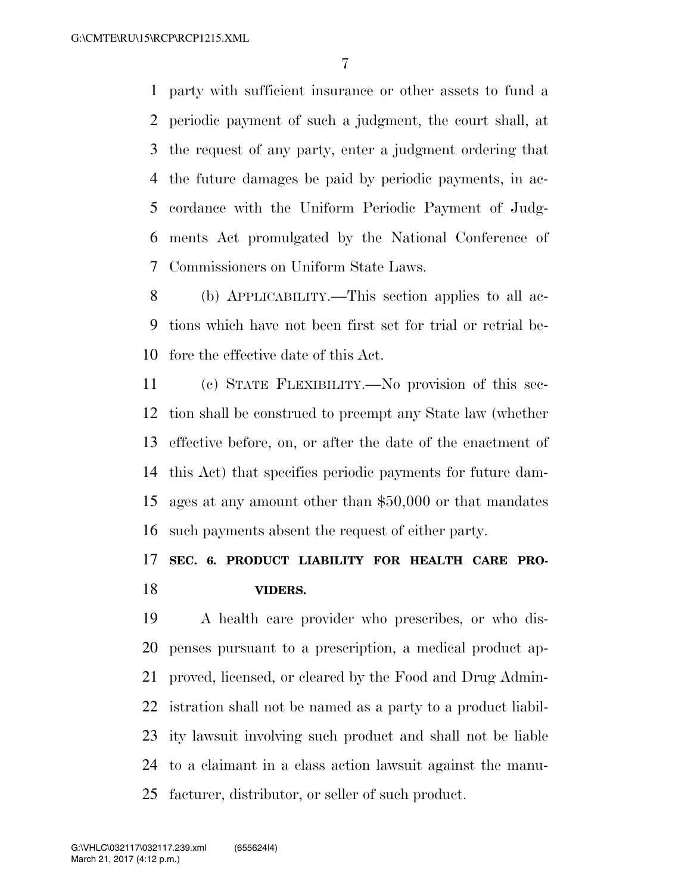party with sufficient insurance or other assets to fund a periodic payment of such a judgment, the court shall, at the request of any party, enter a judgment ordering that the future damages be paid by periodic payments, in ac- cordance with the Uniform Periodic Payment of Judg- ments Act promulgated by the National Conference of Commissioners on Uniform State Laws.

 (b) APPLICABILITY.—This section applies to all ac- tions which have not been first set for trial or retrial be-fore the effective date of this Act.

 (c) STATE FLEXIBILITY.—No provision of this sec- tion shall be construed to preempt any State law (whether effective before, on, or after the date of the enactment of this Act) that specifies periodic payments for future dam- ages at any amount other than \$50,000 or that mandates such payments absent the request of either party.

# **SEC. 6. PRODUCT LIABILITY FOR HEALTH CARE PRO-VIDERS.**

 A health care provider who prescribes, or who dis- penses pursuant to a prescription, a medical product ap- proved, licensed, or cleared by the Food and Drug Admin- istration shall not be named as a party to a product liabil- ity lawsuit involving such product and shall not be liable to a claimant in a class action lawsuit against the manu-facturer, distributor, or seller of such product.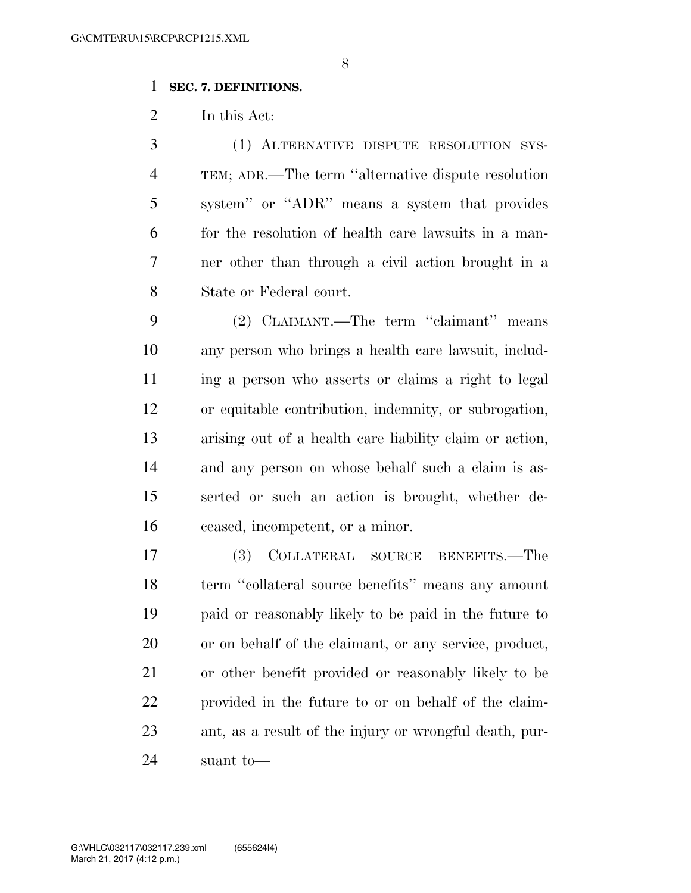### **SEC. 7. DEFINITIONS.**

In this Act:

 (1) ALTERNATIVE DISPUTE RESOLUTION SYS- TEM; ADR.—The term ''alternative dispute resolution system'' or ''ADR'' means a system that provides for the resolution of health care lawsuits in a man- ner other than through a civil action brought in a State or Federal court.

 (2) CLAIMANT.—The term ''claimant'' means any person who brings a health care lawsuit, includ- ing a person who asserts or claims a right to legal or equitable contribution, indemnity, or subrogation, arising out of a health care liability claim or action, and any person on whose behalf such a claim is as- serted or such an action is brought, whether de-ceased, incompetent, or a minor.

 (3) COLLATERAL SOURCE BENEFITS.—The term ''collateral source benefits'' means any amount paid or reasonably likely to be paid in the future to or on behalf of the claimant, or any service, product, or other benefit provided or reasonably likely to be provided in the future to or on behalf of the claim- ant, as a result of the injury or wrongful death, pur-suant to—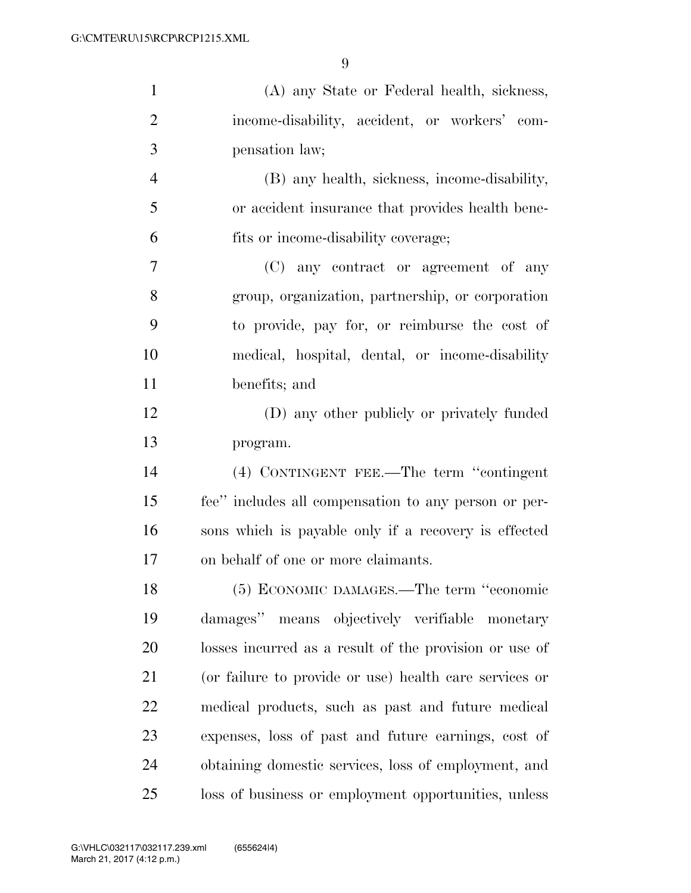| $\mathbf{1}$   | (A) any State or Federal health, sickness,             |
|----------------|--------------------------------------------------------|
| $\overline{2}$ | income-disability, accident, or workers' com-          |
| 3              | pensation law;                                         |
| $\overline{4}$ | (B) any health, sickness, income-disability,           |
| 5              | or accident insurance that provides health bene-       |
| 6              | fits or income-disability coverage;                    |
| $\overline{7}$ | (C) any contract or agreement of any                   |
| 8              | group, organization, partnership, or corporation       |
| 9              | to provide, pay for, or reimburse the cost of          |
| 10             | medical, hospital, dental, or income-disability        |
| 11             | benefits; and                                          |
| 12             | (D) any other publicly or privately funded             |
| 13             | program.                                               |
| 14             | (4) CONTINGENT FEE.—The term "contingent               |
| 15             | fee" includes all compensation to any person or per-   |
| 16             | sons which is payable only if a recovery is effected   |
| 17             | on behalf of one or more claimants.                    |
| 18             | (5) ECONOMIC DAMAGES.—The term "economic               |
| 19             | damages" means objectively verifiable monetary         |
| 20             | losses incurred as a result of the provision or use of |
| 21             | (or failure to provide or use) health care services or |
| 22             | medical products, such as past and future medical      |
| 23             | expenses, loss of past and future earnings, cost of    |
| 24             | obtaining domestic services, loss of employment, and   |
| 25             | loss of business or employment opportunities, unless   |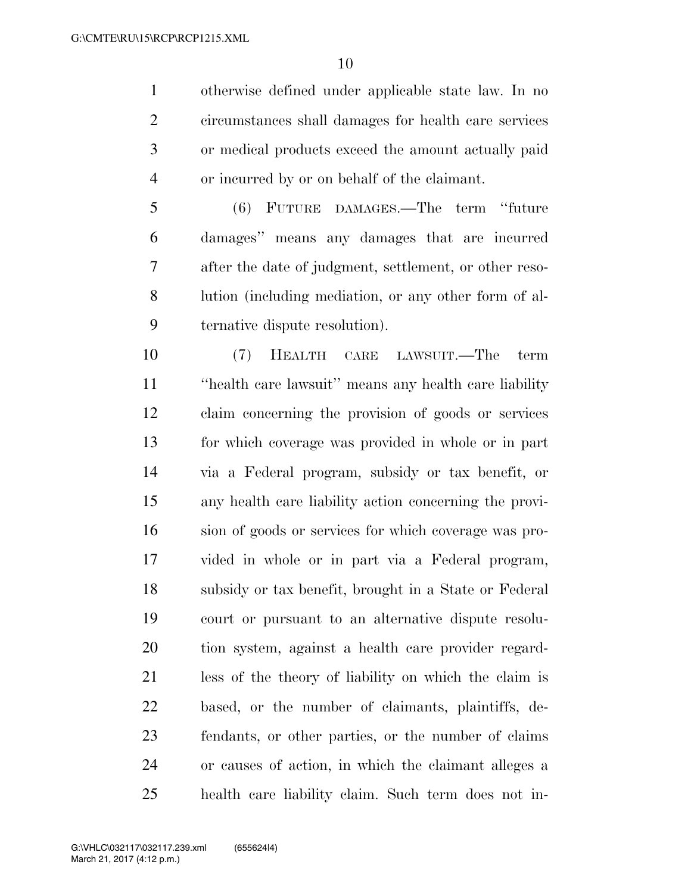otherwise defined under applicable state law. In no circumstances shall damages for health care services or medical products exceed the amount actually paid or incurred by or on behalf of the claimant.

 (6) FUTURE DAMAGES.—The term ''future damages'' means any damages that are incurred after the date of judgment, settlement, or other reso- lution (including mediation, or any other form of al-ternative dispute resolution).

 (7) HEALTH CARE LAWSUIT.—The term ''health care lawsuit'' means any health care liability claim concerning the provision of goods or services for which coverage was provided in whole or in part via a Federal program, subsidy or tax benefit, or any health care liability action concerning the provi- sion of goods or services for which coverage was pro- vided in whole or in part via a Federal program, subsidy or tax benefit, brought in a State or Federal court or pursuant to an alternative dispute resolu- tion system, against a health care provider regard- less of the theory of liability on which the claim is based, or the number of claimants, plaintiffs, de- fendants, or other parties, or the number of claims or causes of action, in which the claimant alleges a health care liability claim. Such term does not in-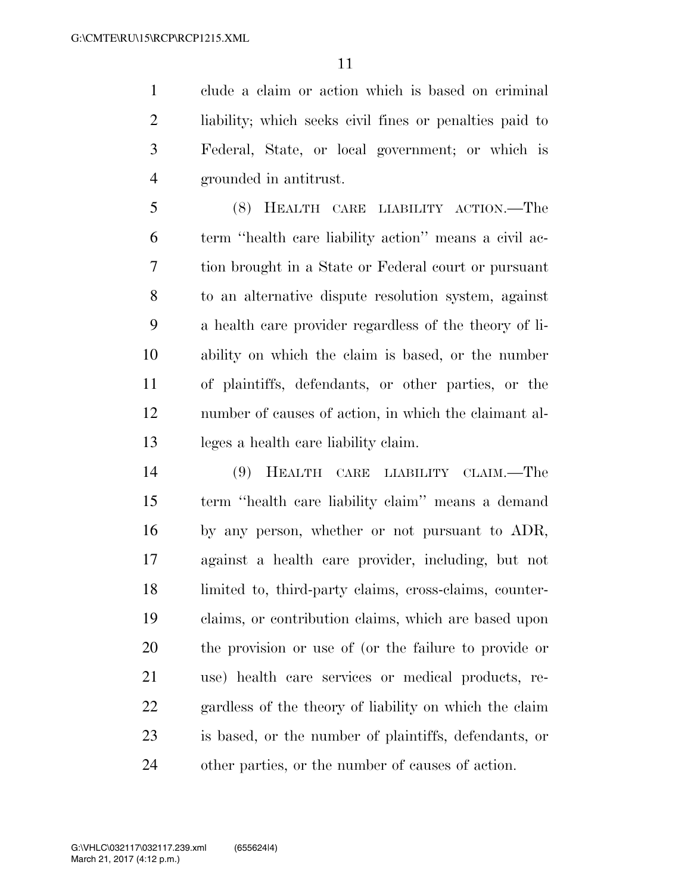clude a claim or action which is based on criminal liability; which seeks civil fines or penalties paid to Federal, State, or local government; or which is grounded in antitrust.

 (8) HEALTH CARE LIABILITY ACTION.—The term ''health care liability action'' means a civil ac- tion brought in a State or Federal court or pursuant to an alternative dispute resolution system, against a health care provider regardless of the theory of li- ability on which the claim is based, or the number of plaintiffs, defendants, or other parties, or the number of causes of action, in which the claimant al-leges a health care liability claim.

 (9) HEALTH CARE LIABILITY CLAIM.—The term ''health care liability claim'' means a demand by any person, whether or not pursuant to ADR, against a health care provider, including, but not limited to, third-party claims, cross-claims, counter- claims, or contribution claims, which are based upon the provision or use of (or the failure to provide or use) health care services or medical products, re- gardless of the theory of liability on which the claim is based, or the number of plaintiffs, defendants, or other parties, or the number of causes of action.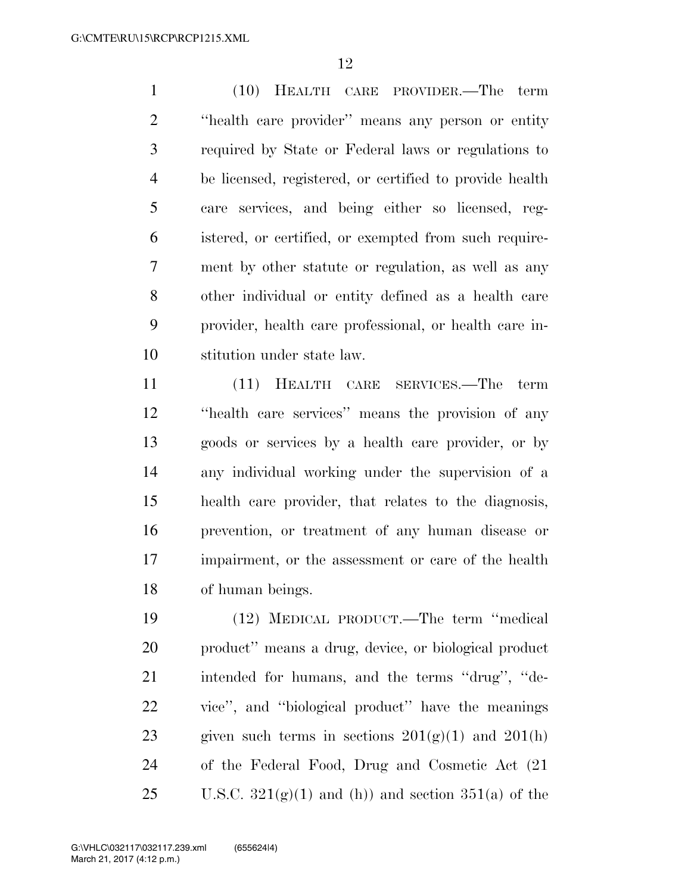(10) HEALTH CARE PROVIDER.—The term ''health care provider'' means any person or entity required by State or Federal laws or regulations to be licensed, registered, or certified to provide health care services, and being either so licensed, reg- istered, or certified, or exempted from such require- ment by other statute or regulation, as well as any other individual or entity defined as a health care provider, health care professional, or health care in-stitution under state law.

 (11) HEALTH CARE SERVICES.—The term ''health care services'' means the provision of any goods or services by a health care provider, or by any individual working under the supervision of a health care provider, that relates to the diagnosis, prevention, or treatment of any human disease or impairment, or the assessment or care of the health of human beings.

 (12) MEDICAL PRODUCT.—The term ''medical product'' means a drug, device, or biological product intended for humans, and the terms ''drug'', ''de- vice'', and ''biological product'' have the meanings 23 given such terms in sections  $201(g)(1)$  and  $201(h)$  of the Federal Food, Drug and Cosmetic Act (21 25 U.S.C.  $321(\text{g})(1)$  and (h)) and section  $351(\text{a})$  of the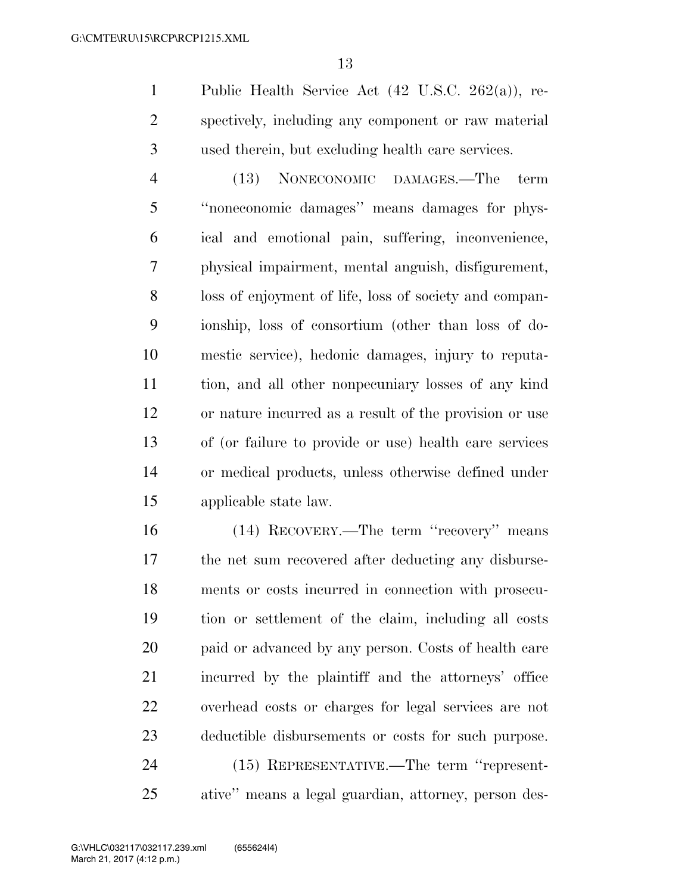Public Health Service Act (42 U.S.C. 262(a)), re- spectively, including any component or raw material used therein, but excluding health care services.

 (13) NONECONOMIC DAMAGES.—The term ''noneconomic damages'' means damages for phys- ical and emotional pain, suffering, inconvenience, physical impairment, mental anguish, disfigurement, loss of enjoyment of life, loss of society and compan- ionship, loss of consortium (other than loss of do- mestic service), hedonic damages, injury to reputa- tion, and all other nonpecuniary losses of any kind or nature incurred as a result of the provision or use of (or failure to provide or use) health care services or medical products, unless otherwise defined under applicable state law.

 (14) RECOVERY.—The term ''recovery'' means the net sum recovered after deducting any disburse- ments or costs incurred in connection with prosecu- tion or settlement of the claim, including all costs 20 paid or advanced by any person. Costs of health care incurred by the plaintiff and the attorneys' office overhead costs or charges for legal services are not deductible disbursements or costs for such purpose. (15) REPRESENTATIVE.—The term ''represent-

ative'' means a legal guardian, attorney, person des-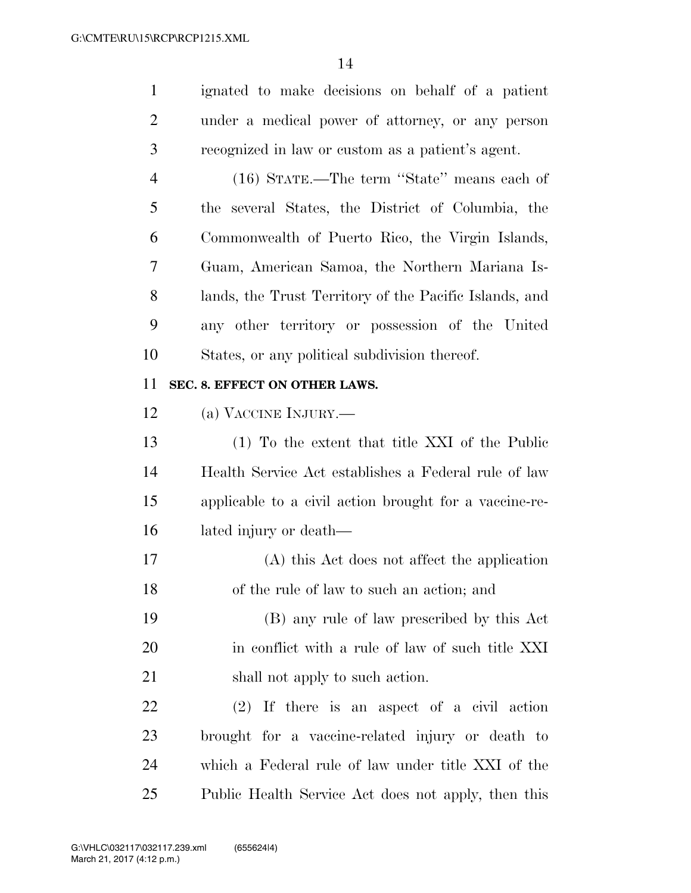ignated to make decisions on behalf of a patient under a medical power of attorney, or any person recognized in law or custom as a patient's agent. (16) STATE.—The term ''State'' means each of

 the several States, the District of Columbia, the Commonwealth of Puerto Rico, the Virgin Islands, Guam, American Samoa, the Northern Mariana Is- lands, the Trust Territory of the Pacific Islands, and any other territory or possession of the United States, or any political subdivision thereof.

#### **SEC. 8. EFFECT ON OTHER LAWS.**

(a) VACCINE INJURY.—

 (1) To the extent that title XXI of the Public Health Service Act establishes a Federal rule of law applicable to a civil action brought for a vaccine-re-lated injury or death—

 (A) this Act does not affect the application of the rule of law to such an action; and

 (B) any rule of law prescribed by this Act 20 in conflict with a rule of law of such title XXI 21 shall not apply to such action.

 (2) If there is an aspect of a civil action brought for a vaccine-related injury or death to which a Federal rule of law under title XXI of the Public Health Service Act does not apply, then this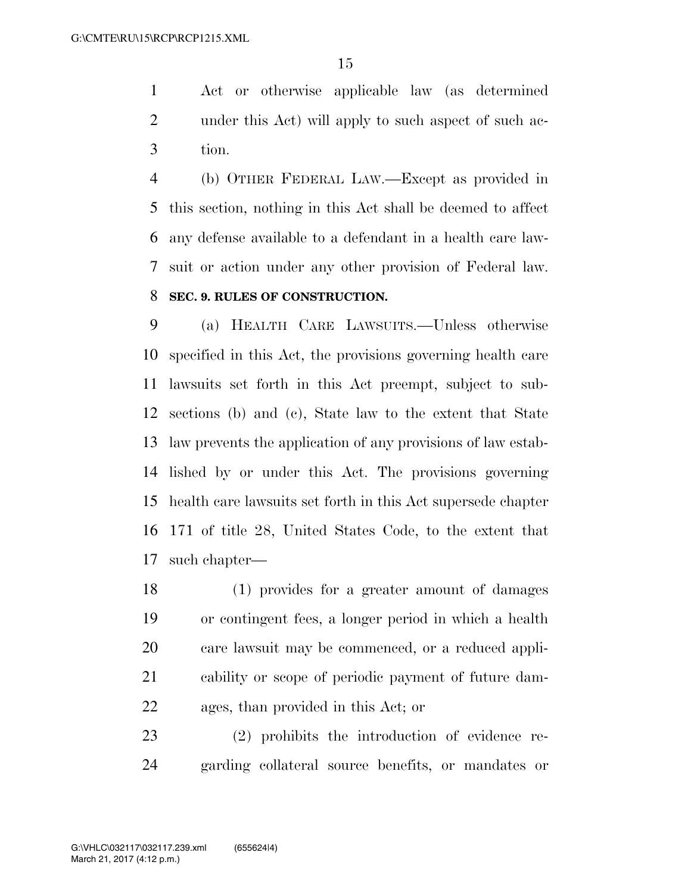Act or otherwise applicable law (as determined under this Act) will apply to such aspect of such ac-tion.

 (b) OTHER FEDERAL LAW.—Except as provided in this section, nothing in this Act shall be deemed to affect any defense available to a defendant in a health care law- suit or action under any other provision of Federal law. **SEC. 9. RULES OF CONSTRUCTION.** 

 (a) HEALTH CARE LAWSUITS.—Unless otherwise specified in this Act, the provisions governing health care lawsuits set forth in this Act preempt, subject to sub- sections (b) and (c), State law to the extent that State law prevents the application of any provisions of law estab- lished by or under this Act. The provisions governing health care lawsuits set forth in this Act supersede chapter 171 of title 28, United States Code, to the extent that such chapter—

 (1) provides for a greater amount of damages or contingent fees, a longer period in which a health care lawsuit may be commenced, or a reduced appli- cability or scope of periodic payment of future dam-ages, than provided in this Act; or

 (2) prohibits the introduction of evidence re-garding collateral source benefits, or mandates or